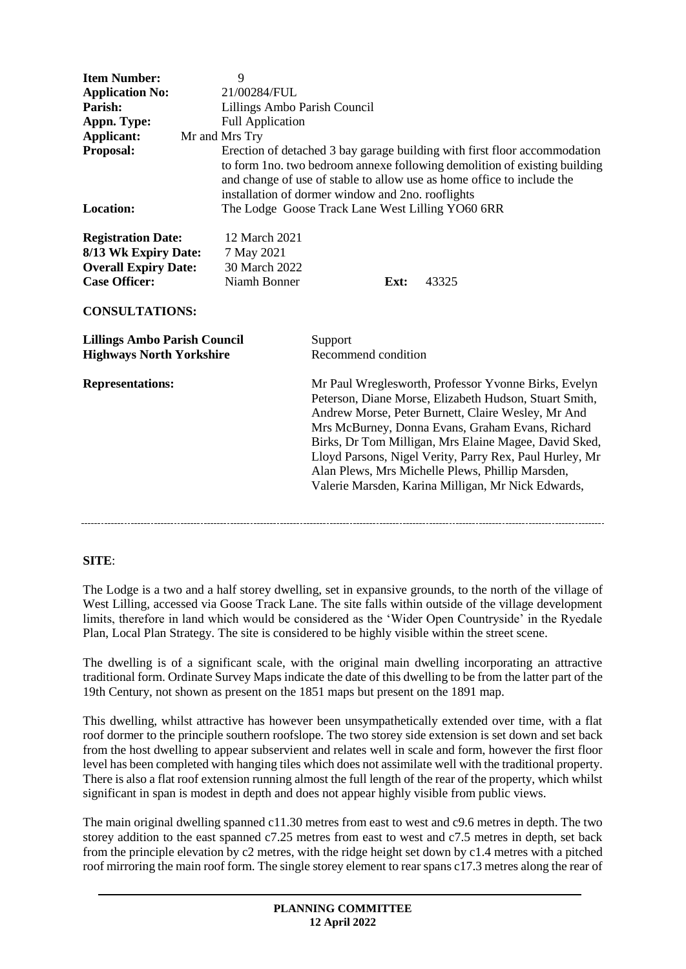| <b>Item Number:</b><br><b>Application No:</b><br>Parish:<br>Appn. Type:<br>Applicant:<br>Proposal:<br><b>Location:</b>            | 9<br>21/00284/FUL<br>Lillings Ambo Parish Council<br><b>Full Application</b><br>Mr and Mrs Try<br>Erection of detached 3 bay garage building with first floor accommodation<br>to form 1no. two bedroom annexe following demolition of existing building<br>and change of use of stable to allow use as home office to include the<br>installation of dormer window and 2no. rooflights<br>The Lodge Goose Track Lane West Lilling YO60 6RR |                                |  |  |                                                                                                                                                                                                                                                                                                                                                                                                                                                        |
|-----------------------------------------------------------------------------------------------------------------------------------|---------------------------------------------------------------------------------------------------------------------------------------------------------------------------------------------------------------------------------------------------------------------------------------------------------------------------------------------------------------------------------------------------------------------------------------------|--------------------------------|--|--|--------------------------------------------------------------------------------------------------------------------------------------------------------------------------------------------------------------------------------------------------------------------------------------------------------------------------------------------------------------------------------------------------------------------------------------------------------|
| <b>Registration Date:</b><br>8/13 Wk Expiry Date:<br><b>Overall Expiry Date:</b><br><b>Case Officer:</b><br><b>CONSULTATIONS:</b> | 12 March 2021<br>7 May 2021<br>30 March 2022<br>Niamh Bonner                                                                                                                                                                                                                                                                                                                                                                                | Ext:                           |  |  | 43325                                                                                                                                                                                                                                                                                                                                                                                                                                                  |
| <b>Lillings Ambo Parish Council</b><br><b>Highways North Yorkshire</b>                                                            |                                                                                                                                                                                                                                                                                                                                                                                                                                             | Support<br>Recommend condition |  |  |                                                                                                                                                                                                                                                                                                                                                                                                                                                        |
| <b>Representations:</b>                                                                                                           |                                                                                                                                                                                                                                                                                                                                                                                                                                             |                                |  |  | Mr Paul Wreglesworth, Professor Yvonne Birks, Evelyn<br>Peterson, Diane Morse, Elizabeth Hudson, Stuart Smith,<br>Andrew Morse, Peter Burnett, Claire Wesley, Mr And<br>Mrs McBurney, Donna Evans, Graham Evans, Richard<br>Birks, Dr Tom Milligan, Mrs Elaine Magee, David Sked,<br>Lloyd Parsons, Nigel Verity, Parry Rex, Paul Hurley, Mr<br>Alan Plews, Mrs Michelle Plews, Phillip Marsden,<br>Valerie Marsden, Karina Milligan, Mr Nick Edwards, |

#### **SITE**:

The Lodge is a two and a half storey dwelling, set in expansive grounds, to the north of the village of West Lilling, accessed via Goose Track Lane. The site falls within outside of the village development limits, therefore in land which would be considered as the 'Wider Open Countryside' in the Ryedale Plan, Local Plan Strategy. The site is considered to be highly visible within the street scene.

The dwelling is of a significant scale, with the original main dwelling incorporating an attractive traditional form. Ordinate Survey Maps indicate the date of this dwelling to be from the latter part of the 19th Century, not shown as present on the 1851 maps but present on the 1891 map.

This dwelling, whilst attractive has however been unsympathetically extended over time, with a flat roof dormer to the principle southern roofslope. The two storey side extension is set down and set back from the host dwelling to appear subservient and relates well in scale and form, however the first floor level has been completed with hanging tiles which does not assimilate well with the traditional property. There is also a flat roof extension running almost the full length of the rear of the property, which whilst significant in span is modest in depth and does not appear highly visible from public views.

The main original dwelling spanned c11.30 metres from east to west and c9.6 metres in depth. The two storey addition to the east spanned c7.25 metres from east to west and c7.5 metres in depth, set back from the principle elevation by c2 metres, with the ridge height set down by c1.4 metres with a pitched roof mirroring the main roof form. The single storey element to rear spans c17.3 metres along the rear of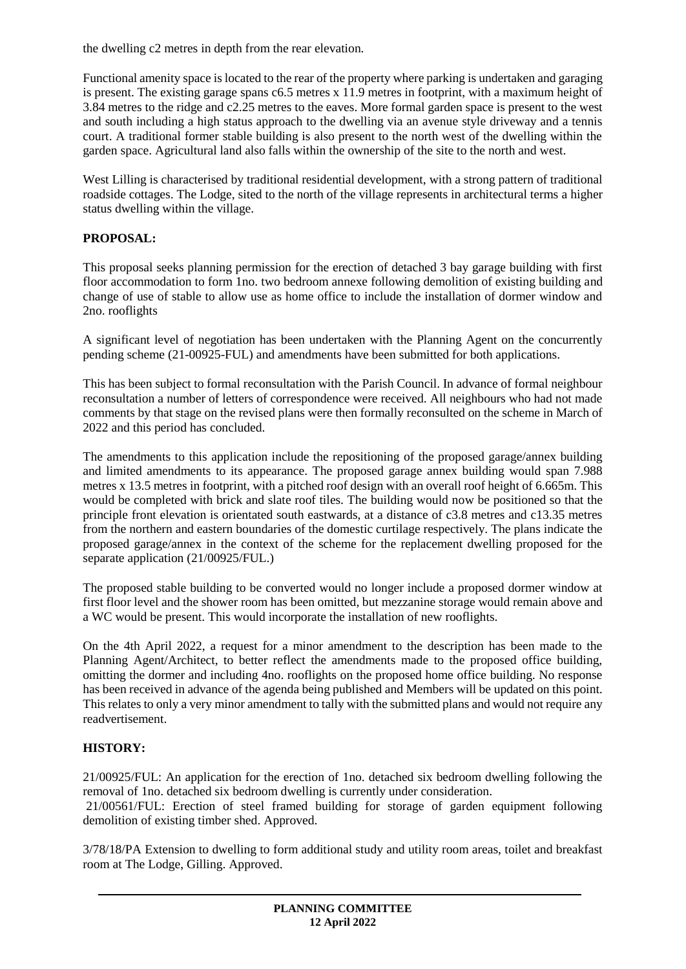the dwelling c2 metres in depth from the rear elevation.

Functional amenity space is located to the rear of the property where parking is undertaken and garaging is present. The existing garage spans c6.5 metres x 11.9 metres in footprint, with a maximum height of 3.84 metres to the ridge and c2.25 metres to the eaves. More formal garden space is present to the west and south including a high status approach to the dwelling via an avenue style driveway and a tennis court. A traditional former stable building is also present to the north west of the dwelling within the garden space. Agricultural land also falls within the ownership of the site to the north and west.

West Lilling is characterised by traditional residential development, with a strong pattern of traditional roadside cottages. The Lodge, sited to the north of the village represents in architectural terms a higher status dwelling within the village.

# **PROPOSAL:**

This proposal seeks planning permission for the erection of detached 3 bay garage building with first floor accommodation to form 1no. two bedroom annexe following demolition of existing building and change of use of stable to allow use as home office to include the installation of dormer window and 2no. rooflights

A significant level of negotiation has been undertaken with the Planning Agent on the concurrently pending scheme (21-00925-FUL) and amendments have been submitted for both applications.

This has been subject to formal reconsultation with the Parish Council. In advance of formal neighbour reconsultation a number of letters of correspondence were received. All neighbours who had not made comments by that stage on the revised plans were then formally reconsulted on the scheme in March of 2022 and this period has concluded.

The amendments to this application include the repositioning of the proposed garage/annex building and limited amendments to its appearance. The proposed garage annex building would span 7.988 metres x 13.5 metres in footprint, with a pitched roof design with an overall roof height of 6.665m. This would be completed with brick and slate roof tiles. The building would now be positioned so that the principle front elevation is orientated south eastwards, at a distance of c3.8 metres and c13.35 metres from the northern and eastern boundaries of the domestic curtilage respectively. The plans indicate the proposed garage/annex in the context of the scheme for the replacement dwelling proposed for the separate application (21/00925/FUL.)

The proposed stable building to be converted would no longer include a proposed dormer window at first floor level and the shower room has been omitted, but mezzanine storage would remain above and a WC would be present. This would incorporate the installation of new rooflights.

On the 4th April 2022, a request for a minor amendment to the description has been made to the Planning Agent/Architect, to better reflect the amendments made to the proposed office building, omitting the dormer and including 4no. rooflights on the proposed home office building. No response has been received in advance of the agenda being published and Members will be updated on this point. This relates to only a very minor amendment to tally with the submitted plans and would not require any readvertisement.

# **HISTORY:**

21/00925/FUL: An application for the erection of 1no. detached six bedroom dwelling following the removal of 1no. detached six bedroom dwelling is currently under consideration.

21/00561/FUL: Erection of steel framed building for storage of garden equipment following demolition of existing timber shed. Approved.

3/78/18/PA Extension to dwelling to form additional study and utility room areas, toilet and breakfast room at The Lodge, Gilling. Approved.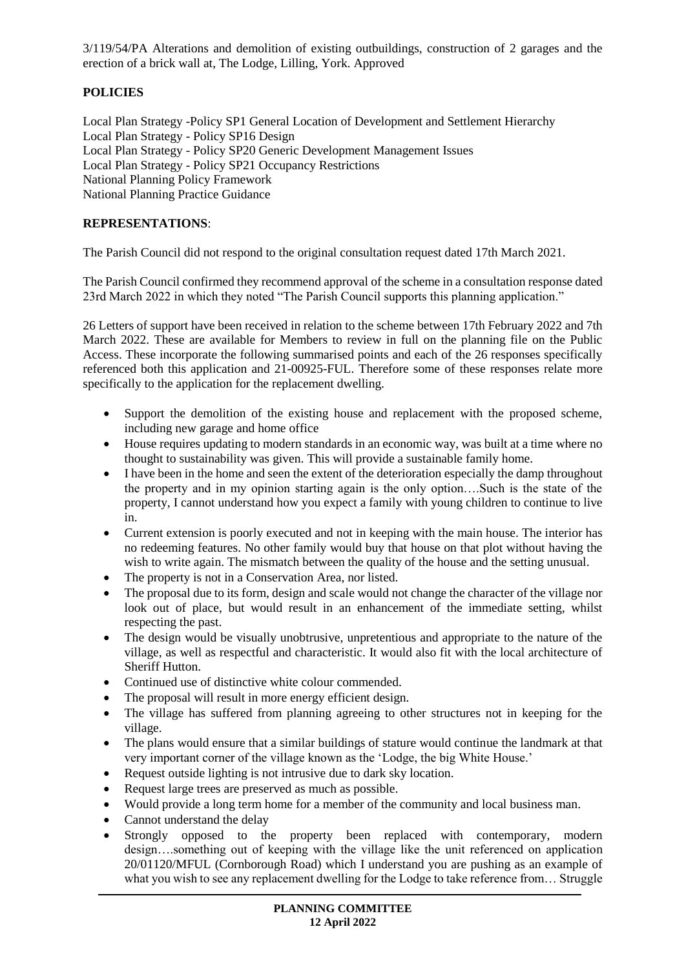3/119/54/PA Alterations and demolition of existing outbuildings, construction of 2 garages and the erection of a brick wall at, The Lodge, Lilling, York. Approved

## **POLICIES**

Local Plan Strategy -Policy SP1 General Location of Development and Settlement Hierarchy Local Plan Strategy - Policy SP16 Design Local Plan Strategy - Policy SP20 Generic Development Management Issues Local Plan Strategy - Policy SP21 Occupancy Restrictions National Planning Policy Framework National Planning Practice Guidance

#### **REPRESENTATIONS**:

The Parish Council did not respond to the original consultation request dated 17th March 2021.

The Parish Council confirmed they recommend approval of the scheme in a consultation response dated 23rd March 2022 in which they noted "The Parish Council supports this planning application."

26 Letters of support have been received in relation to the scheme between 17th February 2022 and 7th March 2022. These are available for Members to review in full on the planning file on the Public Access. These incorporate the following summarised points and each of the 26 responses specifically referenced both this application and 21-00925-FUL. Therefore some of these responses relate more specifically to the application for the replacement dwelling.

- Support the demolition of the existing house and replacement with the proposed scheme, including new garage and home office
- House requires updating to modern standards in an economic way, was built at a time where no thought to sustainability was given. This will provide a sustainable family home.
- I have been in the home and seen the extent of the deterioration especially the damp throughout the property and in my opinion starting again is the only option….Such is the state of the property, I cannot understand how you expect a family with young children to continue to live in.
- Current extension is poorly executed and not in keeping with the main house. The interior has no redeeming features. No other family would buy that house on that plot without having the wish to write again. The mismatch between the quality of the house and the setting unusual.
- The property is not in a Conservation Area, nor listed.
- The proposal due to its form, design and scale would not change the character of the village nor look out of place, but would result in an enhancement of the immediate setting, whilst respecting the past.
- The design would be visually unobtrusive, unpretentious and appropriate to the nature of the village, as well as respectful and characteristic. It would also fit with the local architecture of Sheriff Hutton.
- Continued use of distinctive white colour commended.
- The proposal will result in more energy efficient design.
- The village has suffered from planning agreeing to other structures not in keeping for the village.
- The plans would ensure that a similar buildings of stature would continue the landmark at that very important corner of the village known as the 'Lodge, the big White House.'
- Request outside lighting is not intrusive due to dark sky location.
- Request large trees are preserved as much as possible.
- Would provide a long term home for a member of the community and local business man.
- Cannot understand the delay
- Strongly opposed to the property been replaced with contemporary, modern design….something out of keeping with the village like the unit referenced on application 20/01120/MFUL (Cornborough Road) which I understand you are pushing as an example of what you wish to see any replacement dwelling for the Lodge to take reference from... Struggle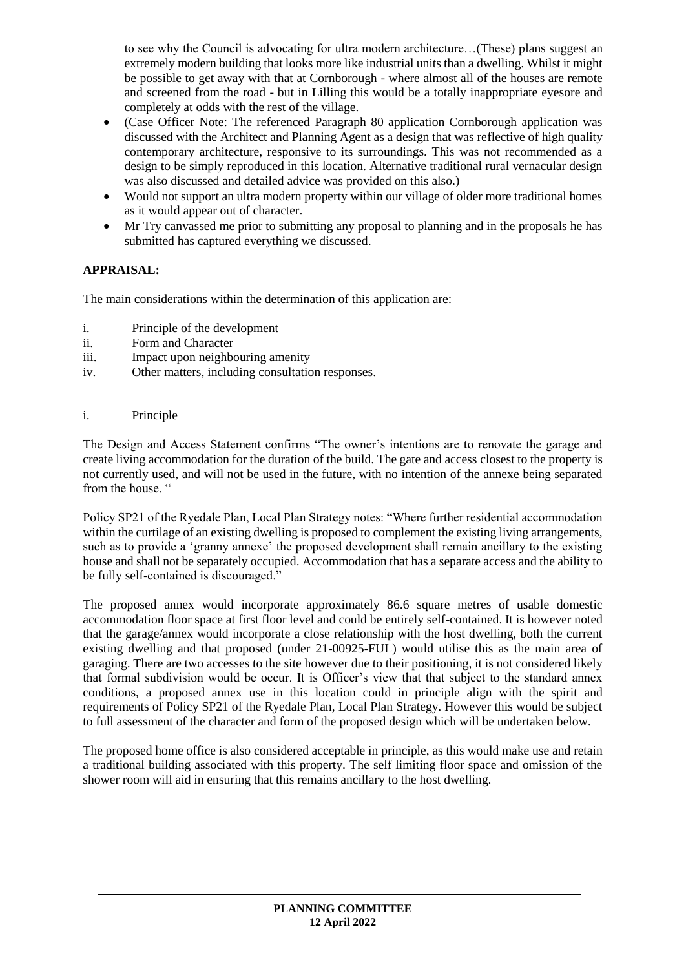to see why the Council is advocating for ultra modern architecture…(These) plans suggest an extremely modern building that looks more like industrial units than a dwelling. Whilst it might be possible to get away with that at Cornborough - where almost all of the houses are remote and screened from the road - but in Lilling this would be a totally inappropriate eyesore and completely at odds with the rest of the village.

- (Case Officer Note: The referenced Paragraph 80 application Cornborough application was discussed with the Architect and Planning Agent as a design that was reflective of high quality contemporary architecture, responsive to its surroundings. This was not recommended as a design to be simply reproduced in this location. Alternative traditional rural vernacular design was also discussed and detailed advice was provided on this also.)
- Would not support an ultra modern property within our village of older more traditional homes as it would appear out of character.
- Mr Try canvassed me prior to submitting any proposal to planning and in the proposals he has submitted has captured everything we discussed.

# **APPRAISAL:**

The main considerations within the determination of this application are:

- i. Principle of the development
- ii. Form and Character
- iii. Impact upon neighbouring amenity
- iv. Other matters, including consultation responses.
- i. Principle

The Design and Access Statement confirms "The owner's intentions are to renovate the garage and create living accommodation for the duration of the build. The gate and access closest to the property is not currently used, and will not be used in the future, with no intention of the annexe being separated from the house. "

Policy SP21 of the Ryedale Plan, Local Plan Strategy notes: "Where further residential accommodation within the curtilage of an existing dwelling is proposed to complement the existing living arrangements, such as to provide a 'granny annexe' the proposed development shall remain ancillary to the existing house and shall not be separately occupied. Accommodation that has a separate access and the ability to be fully self-contained is discouraged."

The proposed annex would incorporate approximately 86.6 square metres of usable domestic accommodation floor space at first floor level and could be entirely self-contained. It is however noted that the garage/annex would incorporate a close relationship with the host dwelling, both the current existing dwelling and that proposed (under 21-00925-FUL) would utilise this as the main area of garaging. There are two accesses to the site however due to their positioning, it is not considered likely that formal subdivision would be occur. It is Officer's view that that subject to the standard annex conditions, a proposed annex use in this location could in principle align with the spirit and requirements of Policy SP21 of the Ryedale Plan, Local Plan Strategy. However this would be subject to full assessment of the character and form of the proposed design which will be undertaken below.

The proposed home office is also considered acceptable in principle, as this would make use and retain a traditional building associated with this property. The self limiting floor space and omission of the shower room will aid in ensuring that this remains ancillary to the host dwelling.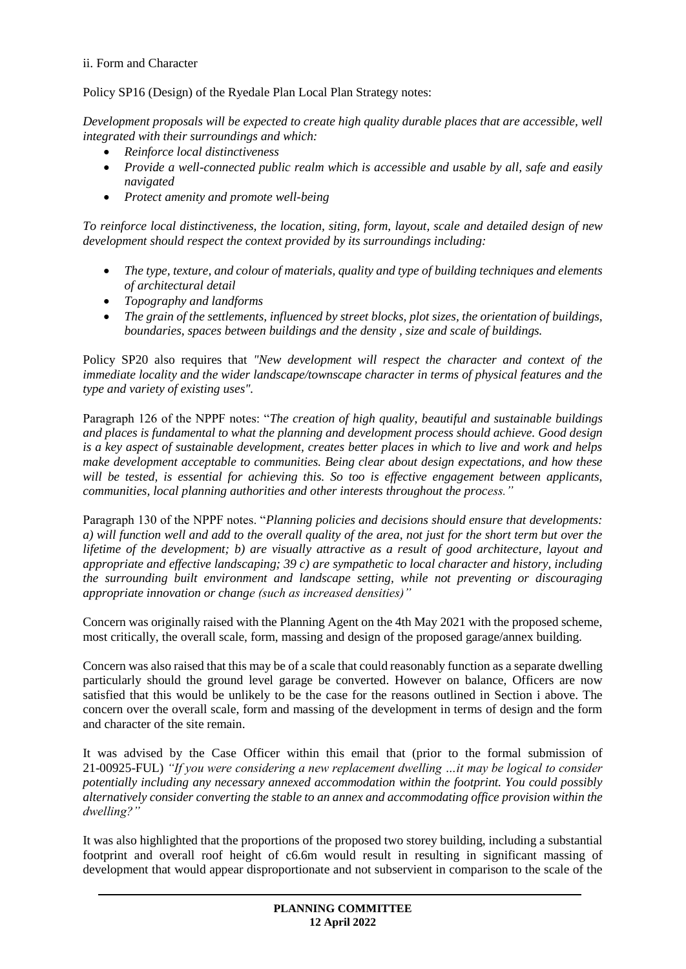### ii. Form and Character

Policy SP16 (Design) of the Ryedale Plan Local Plan Strategy notes:

*Development proposals will be expected to create high quality durable places that are accessible, well integrated with their surroundings and which:* 

- *Reinforce local distinctiveness*
- *Provide a well-connected public realm which is accessible and usable by all, safe and easily navigated*
- *Protect amenity and promote well-being*

*To reinforce local distinctiveness, the location, siting, form, layout, scale and detailed design of new development should respect the context provided by its surroundings including:* 

- *The type, texture, and colour of materials, quality and type of building techniques and elements of architectural detail*
- *Topography and landforms*
- *The grain of the settlements, influenced by street blocks, plot sizes, the orientation of buildings, boundaries, spaces between buildings and the density , size and scale of buildings.*

Policy SP20 also requires that *"New development will respect the character and context of the immediate locality and the wider landscape/townscape character in terms of physical features and the type and variety of existing uses".*

Paragraph 126 of the NPPF notes: "*The creation of high quality, beautiful and sustainable buildings and places is fundamental to what the planning and development process should achieve. Good design is a key aspect of sustainable development, creates better places in which to live and work and helps make development acceptable to communities. Being clear about design expectations, and how these will be tested, is essential for achieving this. So too is effective engagement between applicants, communities, local planning authorities and other interests throughout the process."*

Paragraph 130 of the NPPF notes. "*Planning policies and decisions should ensure that developments: a) will function well and add to the overall quality of the area, not just for the short term but over the lifetime of the development; b) are visually attractive as a result of good architecture, layout and appropriate and effective landscaping; 39 c) are sympathetic to local character and history, including the surrounding built environment and landscape setting, while not preventing or discouraging appropriate innovation or change (such as increased densities)"*

Concern was originally raised with the Planning Agent on the 4th May 2021 with the proposed scheme, most critically, the overall scale, form, massing and design of the proposed garage/annex building.

Concern was also raised that this may be of a scale that could reasonably function as a separate dwelling particularly should the ground level garage be converted. However on balance, Officers are now satisfied that this would be unlikely to be the case for the reasons outlined in Section i above. The concern over the overall scale, form and massing of the development in terms of design and the form and character of the site remain.

It was advised by the Case Officer within this email that (prior to the formal submission of 21-00925-FUL) *"If you were considering a new replacement dwelling …it may be logical to consider potentially including any necessary annexed accommodation within the footprint. You could possibly alternatively consider converting the stable to an annex and accommodating office provision within the dwelling?"*

It was also highlighted that the proportions of the proposed two storey building, including a substantial footprint and overall roof height of c6.6m would result in resulting in significant massing of development that would appear disproportionate and not subservient in comparison to the scale of the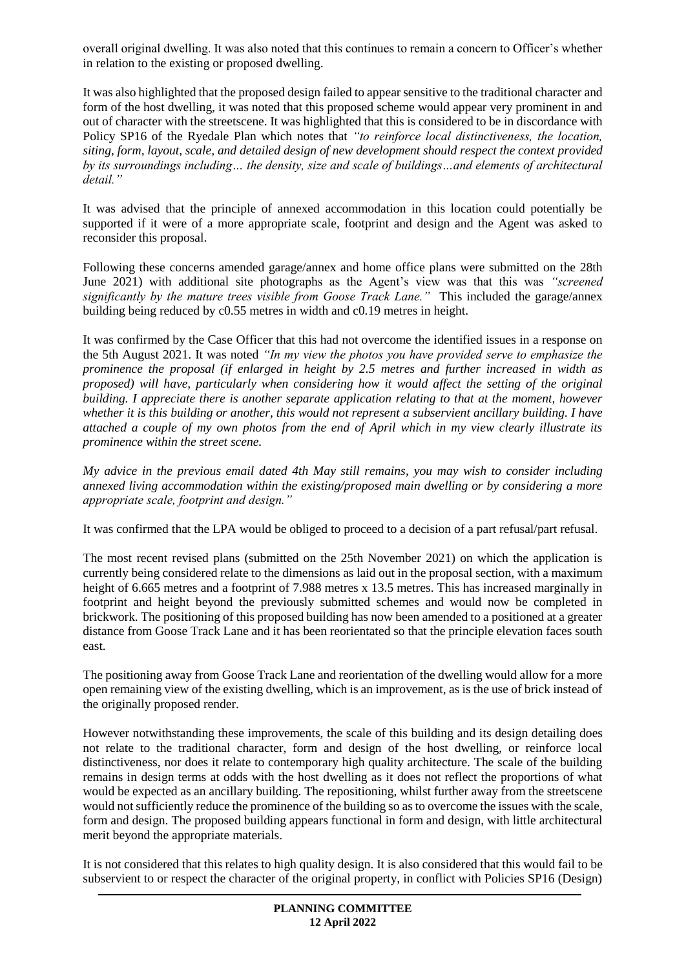overall original dwelling. It was also noted that this continues to remain a concern to Officer's whether in relation to the existing or proposed dwelling.

It was also highlighted that the proposed design failed to appear sensitive to the traditional character and form of the host dwelling, it was noted that this proposed scheme would appear very prominent in and out of character with the streetscene. It was highlighted that this is considered to be in discordance with Policy SP16 of the Ryedale Plan which notes that *"to reinforce local distinctiveness, the location, siting, form, layout, scale, and detailed design of new development should respect the context provided by its surroundings including… the density, size and scale of buildings…and elements of architectural detail."*

It was advised that the principle of annexed accommodation in this location could potentially be supported if it were of a more appropriate scale, footprint and design and the Agent was asked to reconsider this proposal.

Following these concerns amended garage/annex and home office plans were submitted on the 28th June 2021) with additional site photographs as the Agent's view was that this was *"screened significantly by the mature trees visible from Goose Track Lane."* This included the garage/annex building being reduced by c0.55 metres in width and c0.19 metres in height.

It was confirmed by the Case Officer that this had not overcome the identified issues in a response on the 5th August 2021. It was noted *"In my view the photos you have provided serve to emphasize the prominence the proposal (if enlarged in height by 2.5 metres and further increased in width as proposed) will have, particularly when considering how it would affect the setting of the original building. I appreciate there is another separate application relating to that at the moment, however whether it is this building or another, this would not represent a subservient ancillary building. I have attached a couple of my own photos from the end of April which in my view clearly illustrate its prominence within the street scene.*

*My advice in the previous email dated 4th May still remains, you may wish to consider including annexed living accommodation within the existing/proposed main dwelling or by considering a more appropriate scale, footprint and design."*

It was confirmed that the LPA would be obliged to proceed to a decision of a part refusal/part refusal.

The most recent revised plans (submitted on the 25th November 2021) on which the application is currently being considered relate to the dimensions as laid out in the proposal section, with a maximum height of 6.665 metres and a footprint of 7.988 metres x 13.5 metres. This has increased marginally in footprint and height beyond the previously submitted schemes and would now be completed in brickwork. The positioning of this proposed building has now been amended to a positioned at a greater distance from Goose Track Lane and it has been reorientated so that the principle elevation faces south east.

The positioning away from Goose Track Lane and reorientation of the dwelling would allow for a more open remaining view of the existing dwelling, which is an improvement, as is the use of brick instead of the originally proposed render.

However notwithstanding these improvements, the scale of this building and its design detailing does not relate to the traditional character, form and design of the host dwelling, or reinforce local distinctiveness, nor does it relate to contemporary high quality architecture. The scale of the building remains in design terms at odds with the host dwelling as it does not reflect the proportions of what would be expected as an ancillary building. The repositioning, whilst further away from the streetscene would not sufficiently reduce the prominence of the building so as to overcome the issues with the scale, form and design. The proposed building appears functional in form and design, with little architectural merit beyond the appropriate materials.

It is not considered that this relates to high quality design. It is also considered that this would fail to be subservient to or respect the character of the original property, in conflict with Policies SP16 (Design)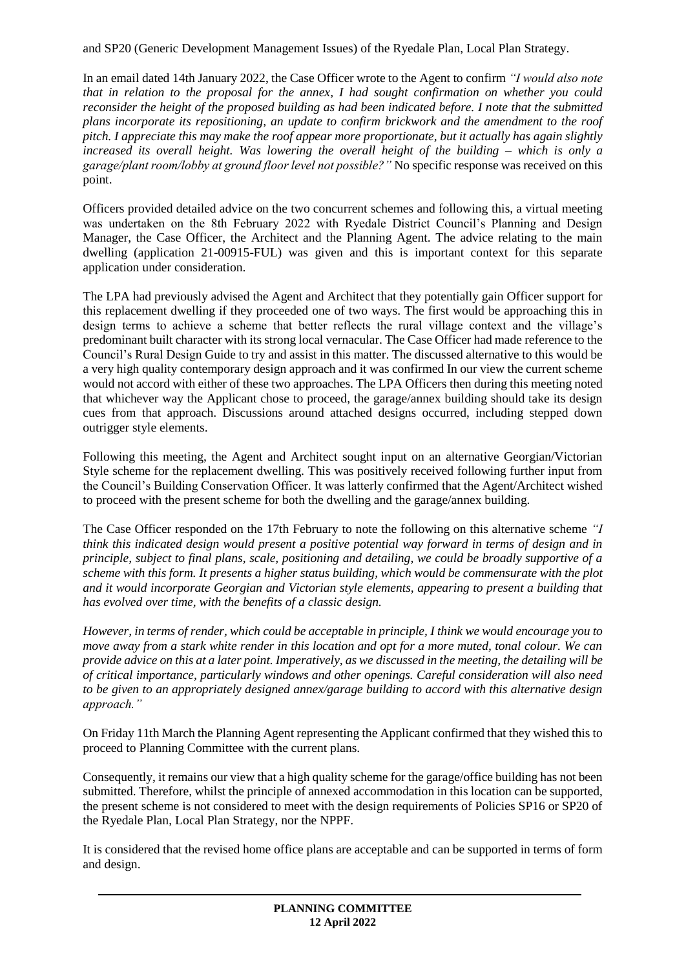and SP20 (Generic Development Management Issues) of the Ryedale Plan, Local Plan Strategy.

In an email dated 14th January 2022, the Case Officer wrote to the Agent to confirm *"I would also note that in relation to the proposal for the annex, I had sought confirmation on whether you could reconsider the height of the proposed building as had been indicated before. I note that the submitted plans incorporate its repositioning, an update to confirm brickwork and the amendment to the roof pitch. I appreciate this may make the roof appear more proportionate, but it actually has again slightly increased its overall height. Was lowering the overall height of the building – which is only a garage/plant room/lobby at ground floor level not possible?"* No specific response was received on this point.

Officers provided detailed advice on the two concurrent schemes and following this, a virtual meeting was undertaken on the 8th February 2022 with Ryedale District Council's Planning and Design Manager, the Case Officer, the Architect and the Planning Agent. The advice relating to the main dwelling (application 21-00915-FUL) was given and this is important context for this separate application under consideration.

The LPA had previously advised the Agent and Architect that they potentially gain Officer support for this replacement dwelling if they proceeded one of two ways. The first would be approaching this in design terms to achieve a scheme that better reflects the rural village context and the village's predominant built character with its strong local vernacular. The Case Officer had made reference to the Council's Rural Design Guide to try and assist in this matter. The discussed alternative to this would be a very high quality contemporary design approach and it was confirmed In our view the current scheme would not accord with either of these two approaches. The LPA Officers then during this meeting noted that whichever way the Applicant chose to proceed, the garage/annex building should take its design cues from that approach. Discussions around attached designs occurred, including stepped down outrigger style elements.

Following this meeting, the Agent and Architect sought input on an alternative Georgian/Victorian Style scheme for the replacement dwelling. This was positively received following further input from the Council's Building Conservation Officer. It was latterly confirmed that the Agent/Architect wished to proceed with the present scheme for both the dwelling and the garage/annex building.

The Case Officer responded on the 17th February to note the following on this alternative scheme *"I think this indicated design would present a positive potential way forward in terms of design and in principle, subject to final plans, scale, positioning and detailing, we could be broadly supportive of a scheme with this form. It presents a higher status building, which would be commensurate with the plot and it would incorporate Georgian and Victorian style elements, appearing to present a building that has evolved over time, with the benefits of a classic design.* 

*However, in terms of render, which could be acceptable in principle, I think we would encourage you to move away from a stark white render in this location and opt for a more muted, tonal colour. We can provide advice on this at a later point. Imperatively, as we discussed in the meeting, the detailing will be of critical importance, particularly windows and other openings. Careful consideration will also need to be given to an appropriately designed annex/garage building to accord with this alternative design approach."*

On Friday 11th March the Planning Agent representing the Applicant confirmed that they wished this to proceed to Planning Committee with the current plans.

Consequently, it remains our view that a high quality scheme for the garage/office building has not been submitted. Therefore, whilst the principle of annexed accommodation in this location can be supported, the present scheme is not considered to meet with the design requirements of Policies SP16 or SP20 of the Ryedale Plan, Local Plan Strategy, nor the NPPF.

It is considered that the revised home office plans are acceptable and can be supported in terms of form and design.